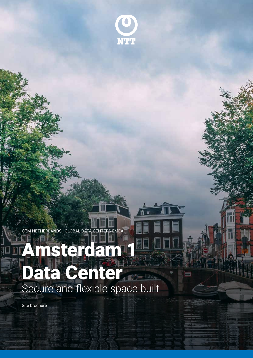

٠.

GTM NETHERLANDS | GLOBAL DATA CENTERS EMEA

# Amsterdam 1 Data Center Secure and flexible space built

ntt.com

Site brochure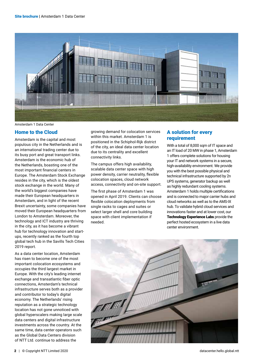

Amsterdam 1 Data Center

## Home to the Cloud

Amsterdam is the capital and most populous city in the Netherlands and is an international trading center due to its busy port and great transport links. Amsterdam is the economic hub of the Netherlands, boasting one of the most important financial centers in Europe. The Amsterdam Stock Exchange resides in the city, which is the oldest stock exchange in the world. Many of the world's biggest companies have made their European headquarters in Amsterdam, and in light of the recent Brexit uncertainty, some companies have moved their European headquarters from London to Amsterdam. Moreover, the technology and ICT industry are thriving in the city, as it has become a vibrant hub for technology innovation and startups, recently ranked as the fourth top global tech hub in the Savills Tech Cities 2019 report.

As a data center location, Amsterdam has risen to become one of the most important colocation ecosystems and occupies the third largest market in Europe. With the city's leading internet exchange and transatlantic fiber optic connections, Amsterdam's technical infrastructure serves both as a provider and contributor to today's digital economy. The Netherlands' rising reputation as a strategic technology location has not gone unnoticed with global hyperscalers making large scale data centers and digital infrastructure investments across the country. At the same time, data center operators such as the Global Data Centers division of NTT Ltd. continue to address the

growing demand for colocation services within this market. Amsterdam 1 is positioned in the Schiphol-Rijk district of the city, an ideal data center location due to its centrality and excellent connectivity links.

The campus offers high availability, scalable data center space with high power density, carrier neutrality, flexible colocation spaces, cloud network access, connectivity and on-site support.

The first phase of Amsterdam 1 was opened in April 2019. Clients can choose flexible colocation deployments from single racks to cages and suites or select larger shell and core building space with client implementation if needed.

## A solution for every requirement

With a total of 8,000 sqm of IT space and an IT load of 20 MW in phase 1, Amsterdam 1 offers complete solutions for housing your IT and network systems in a secure, high-availability environment. We provide you with the best possible physical and technical infrastructure supported by 2n UPS systems, generator backup as well as highly redundant cooling systems. Amsterdam 1 holds multiple certifications and is connected to major carrier hubs and cloud networks as well as to the AMS-IX hub. To validate hybrid cloud services and innovations faster and at lower cost, our **Technology Experience Labs provide the** perfect hosted ecosystem in a live data center environment.

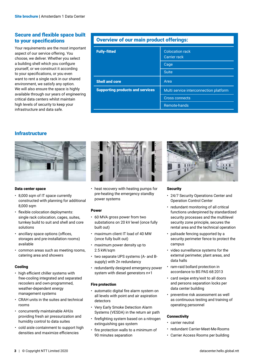## Secure and flexible space built to your specifications

Your requirements are the most important aspect of our service offering. You choose, we deliver. Whether you select a building shell which you configure yourself, or we construct it according to your specifications, or you even want to rent a single rack in our shared environment, we satisfy any option. We will also ensure the space is highly available through our years of engineering critical data centers whilst maintain high levels of security to keep your infrastructure and data safe.

## Overview of our main product offerings:

| <b>Fully-fitted</b>                     | <b>Colocation rack</b><br><b>Carrier rack</b> |
|-----------------------------------------|-----------------------------------------------|
|                                         | Cage                                          |
|                                         | <b>Suite</b>                                  |
| <b>Shell and core</b>                   | Area                                          |
| <b>Supporting products and services</b> | Multi service interconnection platform        |
|                                         | <b>Cross connects</b>                         |
|                                         | Remote-hands                                  |

## **Infrastructure**



#### Data center space

- 8,000 sqm of IT space currently constructed with planning for additional 8,000 sqm
- flexible colocation deployments: single rack colocation, cages, suites, turnkey build to suit and shell and core solutions
- ancillary space options (offices, storages and pre-installation rooms) available
- common areas such as meeting rooms, catering area and showers

#### Cooling

- high efficient chiller systems with free-cooling integrated and separated recoolers and own-programmed, weather-dependent energy management systems
- CRAH units in the suites and technical rooms
- concurrently maintainable AHUs providing fresh air pressurization and humidity control to data suites
- cold aisle containment to support high densities and maximize efficiencies



• heat recovery with heating pumps for pre-heating the emergency standby power systems

#### Power

- 60 MVA gross power from two substations on 20 kV level (once fully built out)
- maximum client IT load of 40 MW (once fully built out)
- maximum power density up to 2.5 kW/sqm
- two separate UPS systems (A- and Bsupply) with 2n redundancy
- redundantly designed emergency power system with diesel generators n+1

## Fire protection

- automatic digital fire alarm system on all levels with point and air aspiration detectors
- Very Early Smoke Detection Alarm Systems (VESDA) in the return air path
- firefighting system based on a nitrogen extinguishing gas system
- fire protection walls to a minimum of 90 minutes separation



## **Security**

- 24/7 Security Operations Center and Operation Control Center
- redundant monitoring of all critical functions underpinned by standardized security processes and the multilevel security zone principle, secures the rental area and the technical operation
- palisade fencing supported by a security perimeter fence to protect the campus
- video surveillance systems for the external perimeter, plant areas, and data halls
- ram-raid bollard protection in accordance to BS PAS 68:2013
- card swipe entry/exit to all doors and persons separation locks per data center building
- preventive risk assessment as well as continuous testing and training of operating personnel

## **Connectivity**

- carrier neutral
- redundant Carrier-Meet-Me-Rooms
- Carrier Access Rooms per building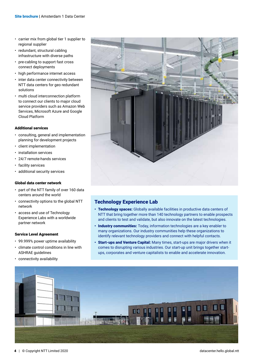- carrier mix from global tier 1 supplier to regional supplier
- redundant, structural cabling infrastructure with diverse paths
- pre-cabling to support fast cross connect deployments
- high performance internet access
- inter data center connectivity between NTT data centers for geo redundant solutions
- multi cloud interconnection platform to connect our clients to major cloud service providers such as Amazon Web Services, Microsoft Azure and Google Cloud Platform

#### Additional services

- consulting, general and implementation planning for development projects
- client implementation
- installation services
- 24/7 remote-hands services
- facility services
- additional security services

#### Global data center network

- part of the NTT family of over 160 data centers around the world
- connectivity options to the global NTT network
- access and use of Technology Experience Labs with a worldwide partner network

#### Service Level Agreement

- 99.999% power uptime availability
- climate control conditions in line with ASHRAE guidelines
- connectivity availability



## Technology Experience Lab

- Technology spaces: Globally available facilities in productive data centers of NTT that bring together more than 140 technology partners to enable prospects and clients to test and validate, but also innovate on the latest technologies.
- Industry communities: Today, information technologies are a key enabler to many organizations. Our industry communities help these organizations to identify relevant technology providers and connect with helpful contacts.
- Start-ups and Venture Capital: Many times, start-ups are major drivers when it comes to disrupting various industries. Our start-up unit brings together startups, corporates and venture capitalists to enable and accelerate innovation.

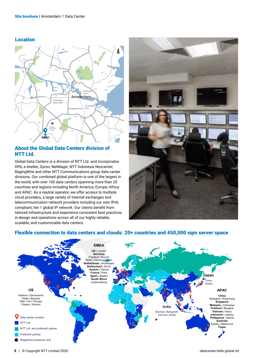## Location



## About the Global Data Centers division of NTT Ltd.

Global Data Centers is a division of NTT Ltd. and incorporates DPA, e-shelter, Gyron, NetMagic, NTT Indonesia Nexcenter, RagingWire and other NTT Communications group data center divisions. Our combined global platform is one of the largest in the world, with over 160 data centers spanning more than 20 countries and regions including North America, Europe, Africa and APAC. As a neutral operator, we offer access to multiple cloud providers, a large variety of internet exchanges and telecommunication network providers including our own IPv6 compliant, tier 1 global IP network. Our clients benefit from tailored infrastructure and experience consistent best practices in design and operations across all of our highly reliable, scalable, and customizable data centers.



## Flexible connection to data centers and clouds: 20+ countries and 450,000 sqm server space

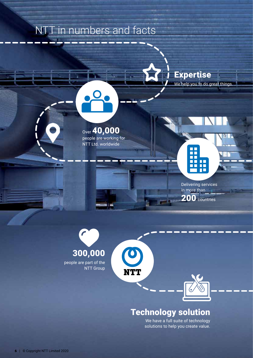# NTT in numbers and facts

Site brochure | Amsterdam 1 Data Center



Over 40,000 people are working for NTT Ltd. worldwide



Delivering services in more than 200 countries



 $\bullet$ 

NTT

## Technology solution

We have a full suite of technology solutions to help you create value.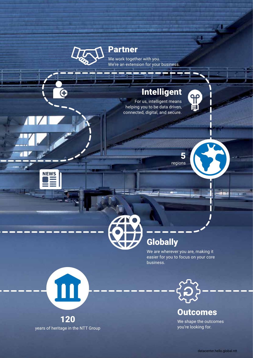

Site brochure | Amsterdam 1 Data Center

**NEWS** 

Partner

We work together with you. We're an extension for your business.

# Intelligent

For us, intelligent means helping you to be data driven, connected, digital, and secure.



5

留

# **Globally**

We are wherever you are, making it easier for you to focus on your core business.



**Outcomes** 

We shape the outcomes you're looking for.



years of heritage in the NTT Group